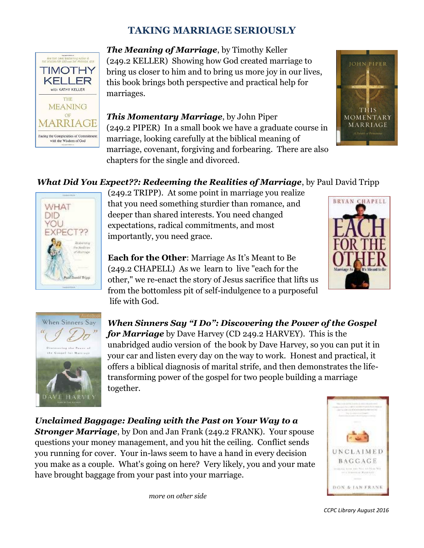# **TAKING MARRIAGE SERIOUSLY**



*The Meaning of Marriage*, by Timothy Keller (249.2 KELLER) Showing how God created marriage to bring us closer to him and to bring us more joy in our lives, this book brings both perspective and practical help for marriages.

*This Momentary Marriage*, by John Piper (249.2 PIPER) In a small book we have a graduate course in marriage, looking carefully at the biblical meaning of marriage, covenant, forgiving and forbearing. There are also chapters for the single and divorced.



# *What Did You Expect??: Redeeming the Realities of Marriage*, by Paul David Tripp



(249.2 TRIPP). At some point in marriage you realize that you need something sturdier than romance, and deeper than shared interests. You need changed expectations, radical commitments, and most importantly, you need grace.

**Each for the Other**: Marriage As It's Meant to Be (249.2 CHAPELL) As we learn to live "each for the other," we re-enact the story of Jesus sacrifice that lifts us from the bottomless pit of self-indulgence to a purposeful life with God.





*When Sinners Say "I Do": Discovering the Power of the Gospel for Marriage* by Dave Harvey (CD 249.2 HARVEY). This is the unabridged audio version of the book by Dave Harvey, so you can put it in your car and listen every day on the way to work. Honest and practical, it offers a biblical diagnosis of marital strife, and then demonstrates the lifetransforming power of the gospel for two people building a marriage together.

*Unclaimed Baggage: Dealing with the Past on Your Way to a Stronger Marriage*, by Don and Jan Frank (249.2 FRANK). Your spouse questions your money management, and you hit the ceiling. Conflict sends you running for cover. Your in-laws seem to have a hand in every decision you make as a couple. What's going on here? Very likely, you and your mate have brought baggage from your past into your marriage.

*more on other side* 



*CCPC Library August 2016*